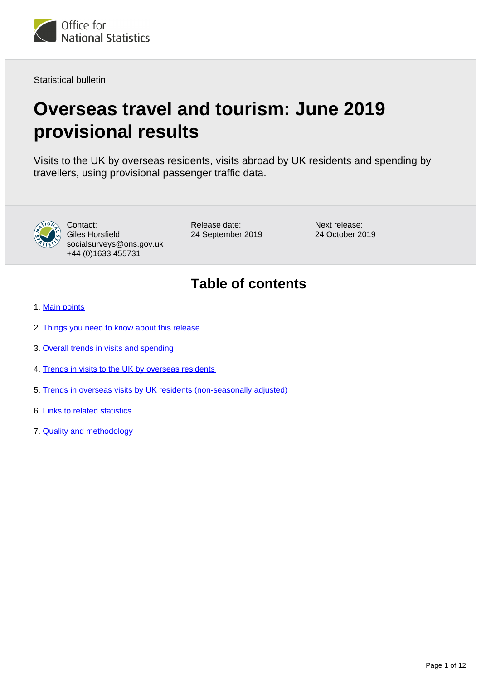<span id="page-0-0"></span>

Statistical bulletin

# **Overseas travel and tourism: June 2019 provisional results**

Visits to the UK by overseas residents, visits abroad by UK residents and spending by travellers, using provisional passenger traffic data.



Contact: Giles Horsfield socialsurveys@ons.gov.uk +44 (0)1633 455731

Release date: 24 September 2019 Next release: 24 October 2019

## **Table of contents**

- 1. [Main points](#page-1-0)
- 2. [Things you need to know about this release](#page-1-1)
- 3. [Overall trends in visits and spending](#page-2-0)
- 4. [Trends in visits to the UK by overseas residents](#page-4-0)
- 5. [Trends in overseas visits by UK residents \(non-seasonally adjusted\)](#page-6-0)
- 6. [Links to related statistics](#page-8-0)
- 7. [Quality and methodology](#page-8-1)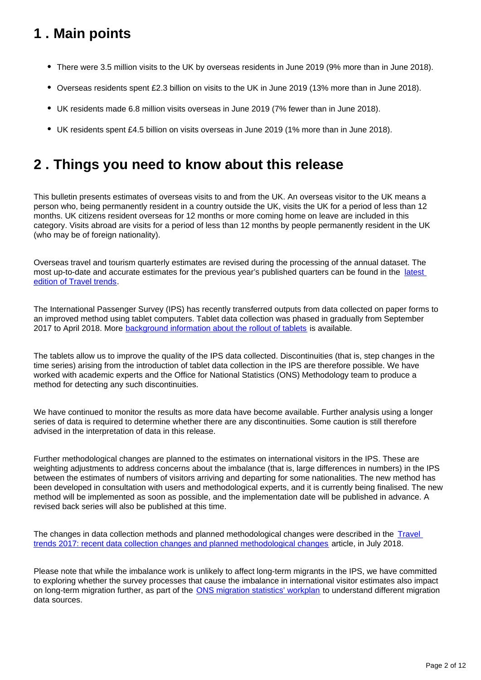## <span id="page-1-0"></span>**1 . Main points**

- There were 3.5 million visits to the UK by overseas residents in June 2019 (9% more than in June 2018).
- Overseas residents spent £2.3 billion on visits to the UK in June 2019 (13% more than in June 2018).
- UK residents made 6.8 million visits overseas in June 2019 (7% fewer than in June 2018).
- UK residents spent £4.5 billion on visits overseas in June 2019 (1% more than in June 2018).

## <span id="page-1-1"></span>**2 . Things you need to know about this release**

This bulletin presents estimates of overseas visits to and from the UK. An overseas visitor to the UK means a person who, being permanently resident in a country outside the UK, visits the UK for a period of less than 12 months. UK citizens resident overseas for 12 months or more coming home on leave are included in this category. Visits abroad are visits for a period of less than 12 months by people permanently resident in the UK (who may be of foreign nationality).

Overseas travel and tourism quarterly estimates are revised during the processing of the annual dataset. The most up-to-date and accurate estimates for the previous year's published quarters can be found in the [latest](https://www.ons.gov.uk/peoplepopulationandcommunity/leisureandtourism/articles/traveltrends/latest)  [edition of Travel trends.](https://www.ons.gov.uk/peoplepopulationandcommunity/leisureandtourism/articles/traveltrends/latest)

The International Passenger Survey (IPS) has recently transferred outputs from data collected on paper forms to an improved method using tablet computers. Tablet data collection was phased in gradually from September 2017 to April 2018. More [background information about the rollout of tablets](https://www.ons.gov.uk/peoplepopulationandcommunity/leisureandtourism/articles/traveltrends2017recentdatacollectionchangesandplannedmethodologicalchanges/2018-07-20) is available.

The tablets allow us to improve the quality of the IPS data collected. Discontinuities (that is, step changes in the time series) arising from the introduction of tablet data collection in the IPS are therefore possible. We have worked with academic experts and the Office for National Statistics (ONS) Methodology team to produce a method for detecting any such discontinuities.

We have continued to monitor the results as more data have become available. Further analysis using a longer series of data is required to determine whether there are any discontinuities. Some caution is still therefore advised in the interpretation of data in this release.

Further methodological changes are planned to the estimates on international visitors in the IPS. These are weighting adjustments to address concerns about the imbalance (that is, large differences in numbers) in the IPS between the estimates of numbers of visitors arriving and departing for some nationalities. The new method has been developed in consultation with users and methodological experts, and it is currently being finalised. The new method will be implemented as soon as possible, and the implementation date will be published in advance. A revised back series will also be published at this time.

The changes in data collection methods and planned methodological changes were described in the Travel [trends 2017: recent data collection changes and planned methodological changes](https://www.ons.gov.uk/peoplepopulationandcommunity/leisureandtourism/articles/traveltrends2017recentdatacollectionchangesandplannedmethodologicalchanges/2018-07-20) article, in July 2018.

Please note that while the imbalance work is unlikely to affect long-term migrants in the IPS, we have committed to exploring whether the survey processes that cause the imbalance in international visitor estimates also impact on long-term migration further, as part of the [ONS migration statistics' workplan](https://www.ons.gov.uk/peoplepopulationandcommunity/populationandmigration/internationalmigration/articles/understandingdifferentmigrationdatasourcesaworkplan/february2019) to understand different migration data sources.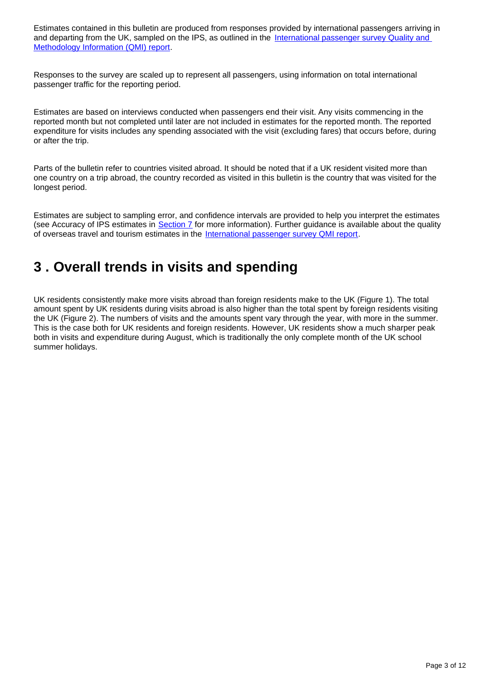Estimates contained in this bulletin are produced from responses provided by international passengers arriving in and departing from the UK, sampled on the IPS, as outlined in the International passenger survey Quality and [Methodology Information \(QMI\) report.](https://www.ons.gov.uk/peoplepopulationandcommunity/leisureandtourism/methodologies/internationalpassengersurveyqmi)

Responses to the survey are scaled up to represent all passengers, using information on total international passenger traffic for the reporting period.

Estimates are based on interviews conducted when passengers end their visit. Any visits commencing in the reported month but not completed until later are not included in estimates for the reported month. The reported expenditure for visits includes any spending associated with the visit (excluding fares) that occurs before, during or after the trip.

Parts of the bulletin refer to countries visited abroad. It should be noted that if a UK resident visited more than one country on a trip abroad, the country recorded as visited in this bulletin is the country that was visited for the longest period.

Estimates are subject to sampling error, and confidence intervals are provided to help you interpret the estimates (see Accuracy of IPS estimates in [Section 7](https://publishing.ons.gov.uk/peoplepopulationandcommunity/leisureandtourism/bulletins/overseastravelandtourism/june2019provisionalresults#quality-and-methodology) for more information). Further guidance is available about the quality of overseas travel and tourism estimates in the [International passenger survey QMI report.](https://www.ons.gov.uk/peoplepopulationandcommunity/leisureandtourism/methodologies/internationalpassengersurveyqmi)

## <span id="page-2-0"></span>**3 . Overall trends in visits and spending**

UK residents consistently make more visits abroad than foreign residents make to the UK (Figure 1). The total amount spent by UK residents during visits abroad is also higher than the total spent by foreign residents visiting the UK (Figure 2). The numbers of visits and the amounts spent vary through the year, with more in the summer. This is the case both for UK residents and foreign residents. However, UK residents show a much sharper peak both in visits and expenditure during August, which is traditionally the only complete month of the UK school summer holidays.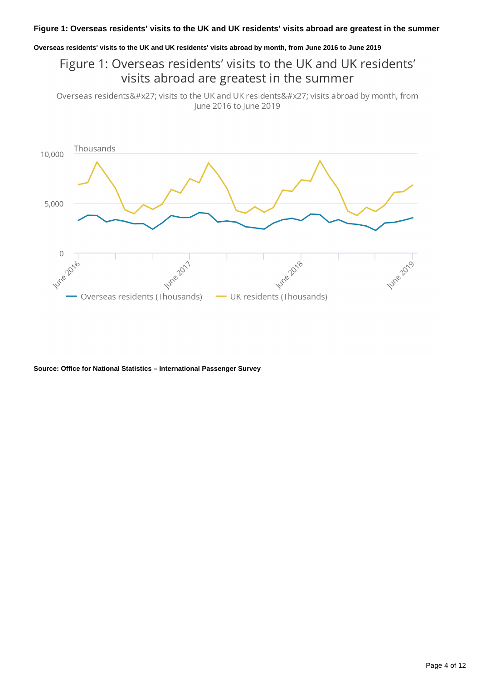#### **Overseas residents' visits to the UK and UK residents' visits abroad by month, from June 2016 to June 2019**

Figure 1: Overseas residents' visits to the UK and UK residents' visits abroad are greatest in the summer

Overseas residents' visits to the UK and UK residents' visits abroad by month, from June 2016 to June 2019



**Source: Office for National Statistics – International Passenger Survey**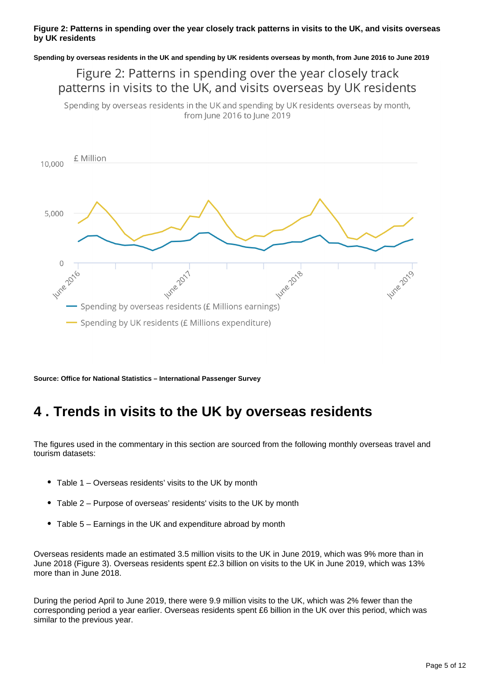### **Figure 2: Patterns in spending over the year closely track patterns in visits to the UK, and visits overseas by UK residents**

**Spending by overseas residents in the UK and spending by UK residents overseas by month, from June 2016 to June 2019**

Figure 2: Patterns in spending over the year closely track patterns in visits to the UK, and visits overseas by UK residents

Spending by overseas residents in the UK and spending by UK residents overseas by month, from June 2016 to June 2019



**Source: Office for National Statistics – International Passenger Survey**

## <span id="page-4-0"></span>**4 . Trends in visits to the UK by overseas residents**

The figures used in the commentary in this section are sourced from the following monthly overseas travel and tourism datasets:

- Table 1 Overseas residents' visits to the UK by month
- Table 2 Purpose of overseas' residents' visits to the UK by month
- Table 5 Earnings in the UK and expenditure abroad by month

Overseas residents made an estimated 3.5 million visits to the UK in June 2019, which was 9% more than in June 2018 (Figure 3). Overseas residents spent £2.3 billion on visits to the UK in June 2019, which was 13% more than in June 2018.

During the period April to June 2019, there were 9.9 million visits to the UK, which was 2% fewer than the corresponding period a year earlier. Overseas residents spent £6 billion in the UK over this period, which was similar to the previous year.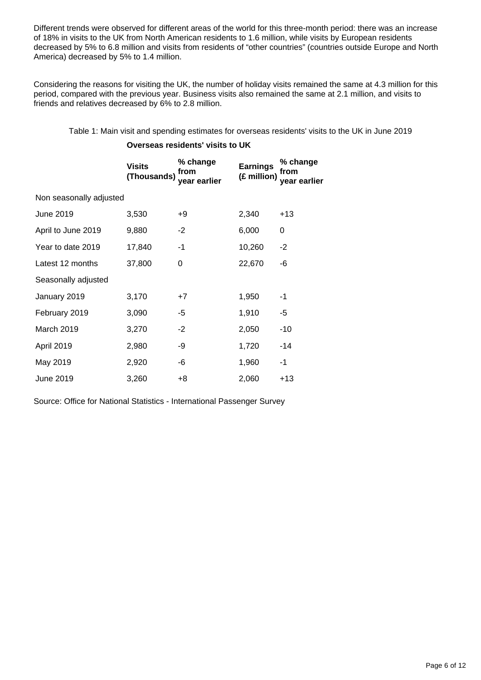Different trends were observed for different areas of the world for this three-month period: there was an increase of 18% in visits to the UK from North American residents to 1.6 million, while visits by European residents decreased by 5% to 6.8 million and visits from residents of "other countries" (countries outside Europe and North America) decreased by 5% to 1.4 million.

Considering the reasons for visiting the UK, the number of holiday visits remained the same at 4.3 million for this period, compared with the previous year. Business visits also remained the same at 2.1 million, and visits to friends and relatives decreased by 6% to 2.8 million.

Table 1: Main visit and spending estimates for overseas residents' visits to the UK in June 2019

### **Overseas residents' visits to UK**

|                         | <b>Visits</b><br>(Thousands) | % change<br>from<br>year earlier | <b>Earnings</b><br>(£ million) | % change<br>from<br>year earlier |  |  |
|-------------------------|------------------------------|----------------------------------|--------------------------------|----------------------------------|--|--|
| Non seasonally adjusted |                              |                                  |                                |                                  |  |  |
| June 2019               | 3,530                        | +9                               | 2,340                          | $+13$                            |  |  |
| April to June 2019      | 9,880                        | -2                               | 6,000                          | 0                                |  |  |
| Year to date 2019       | 17,840                       | -1                               | 10,260                         | $-2$                             |  |  |
| Latest 12 months        | 37,800                       | 0                                | 22,670                         | -6                               |  |  |
| Seasonally adjusted     |                              |                                  |                                |                                  |  |  |
| January 2019            | 3,170                        | $+7$                             | 1,950                          | $-1$                             |  |  |
| February 2019           | 3,090                        | -5                               | 1,910                          | $-5$                             |  |  |
| March 2019              | 3,270                        | $-2$                             | 2,050                          | $-10$                            |  |  |
| April 2019              | 2,980                        | -9                               | 1,720                          | -14                              |  |  |
| May 2019                | 2,920                        | -6                               | 1,960                          | -1                               |  |  |
| June 2019               | 3,260                        | +8                               | 2,060                          | $+13$                            |  |  |

Source: Office for National Statistics - International Passenger Survey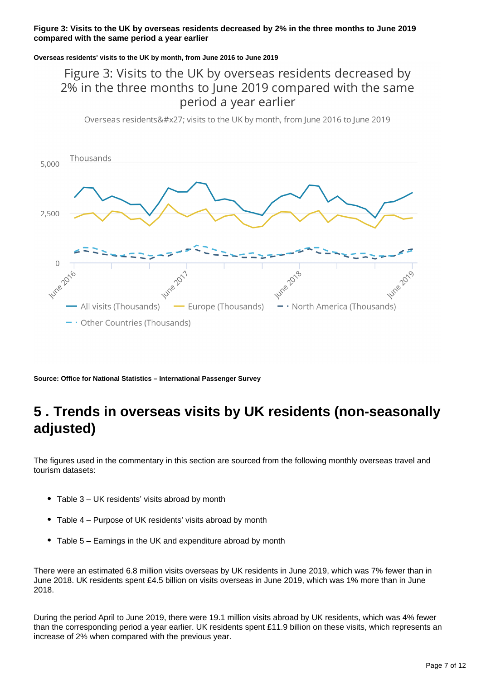### **Figure 3: Visits to the UK by overseas residents decreased by 2% in the three months to June 2019 compared with the same period a year earlier**

### **Overseas residents' visits to the UK by month, from June 2016 to June 2019**

### Figure 3: Visits to the UK by overseas residents decreased by 2% in the three months to June 2019 compared with the same period a year earlier

Overseas residents' visits to the UK by month, from June 2016 to June 2019



**Source: Office for National Statistics – International Passenger Survey**

## <span id="page-6-0"></span>**5 . Trends in overseas visits by UK residents (non-seasonally adjusted)**

The figures used in the commentary in this section are sourced from the following monthly overseas travel and tourism datasets:

- Table 3 UK residents' visits abroad by month
- Table 4 Purpose of UK residents' visits abroad by month
- Table 5 Earnings in the UK and expenditure abroad by month

There were an estimated 6.8 million visits overseas by UK residents in June 2019, which was 7% fewer than in June 2018. UK residents spent £4.5 billion on visits overseas in June 2019, which was 1% more than in June 2018.

During the period April to June 2019, there were 19.1 million visits abroad by UK residents, which was 4% fewer than the corresponding period a year earlier. UK residents spent £11.9 billion on these visits, which represents an increase of 2% when compared with the previous year.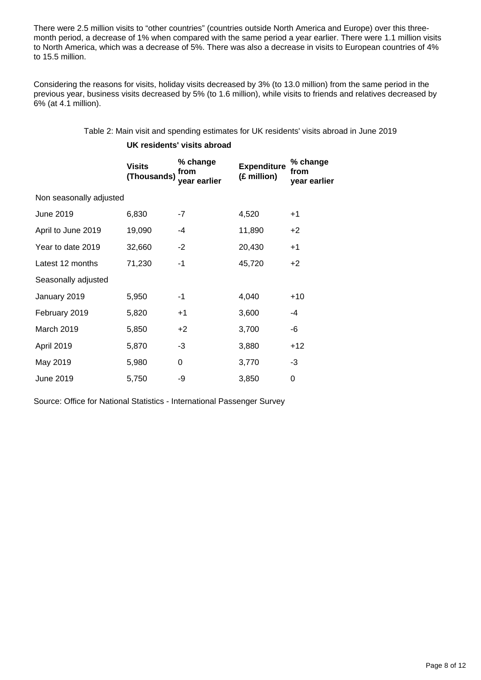There were 2.5 million visits to "other countries" (countries outside North America and Europe) over this threemonth period, a decrease of 1% when compared with the same period a year earlier. There were 1.1 million visits to North America, which was a decrease of 5%. There was also a decrease in visits to European countries of 4% to 15.5 million.

Considering the reasons for visits, holiday visits decreased by 3% (to 13.0 million) from the same period in the previous year, business visits decreased by 5% (to 1.6 million), while visits to friends and relatives decreased by 6% (at 4.1 million).

Table 2: Main visit and spending estimates for UK residents' visits abroad in June 2019

### **UK residents' visits abroad**

|                         | <b>Visits</b><br>(Thousands) | % change<br>from<br>year earlier | <b>Expenditure</b><br>(£ million) | % change<br>from<br>year earlier |  |  |
|-------------------------|------------------------------|----------------------------------|-----------------------------------|----------------------------------|--|--|
| Non seasonally adjusted |                              |                                  |                                   |                                  |  |  |
| <b>June 2019</b>        | 6,830                        | -7                               | 4,520                             | $+1$                             |  |  |
| April to June 2019      | 19,090                       | -4                               | 11,890                            | $+2$                             |  |  |
| Year to date 2019       | 32,660                       | $-2$                             | 20,430                            | $+1$                             |  |  |
| Latest 12 months        | 71,230                       | $-1$                             | 45,720                            | $+2$                             |  |  |
| Seasonally adjusted     |                              |                                  |                                   |                                  |  |  |
| January 2019            | 5,950                        | $-1$                             | 4,040                             | $+10$                            |  |  |
| February 2019           | 5,820                        | $+1$                             | 3,600                             | -4                               |  |  |
| March 2019              | 5,850                        | $+2$                             | 3,700                             | -6                               |  |  |
| April 2019              | 5,870                        | -3                               | 3,880                             | $+12$                            |  |  |
| May 2019                | 5,980                        | 0                                | 3,770                             | -3                               |  |  |
| June 2019               | 5,750                        | -9                               | 3,850                             | 0                                |  |  |

Source: Office for National Statistics - International Passenger Survey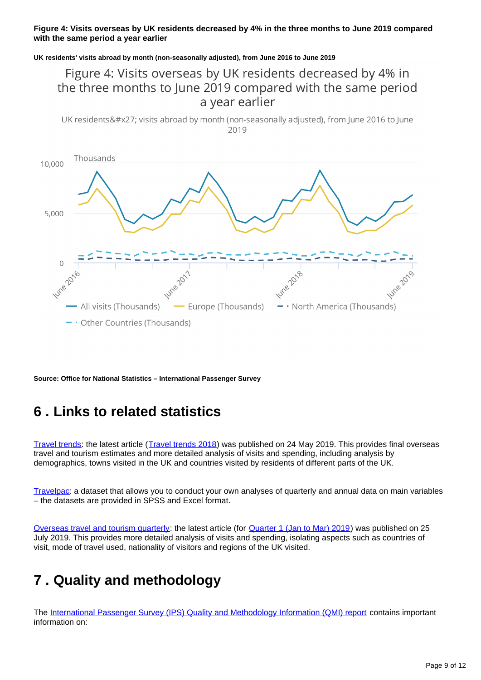### **Figure 4: Visits overseas by UK residents decreased by 4% in the three months to June 2019 compared with the same period a year earlier**

**UK residents' visits abroad by month (non-seasonally adjusted), from June 2016 to June 2019**

### Figure 4: Visits overseas by UK residents decreased by 4% in the three months to June 2019 compared with the same period a year earlier

UK residents' visits abroad by month (non-seasonally adjusted), from June 2016 to June 2019



**Source: Office for National Statistics – International Passenger Survey**

## <span id="page-8-0"></span>**6 . Links to related statistics**

[Travel trends:](https://www.ons.gov.uk/peoplepopulationandcommunity/leisureandtourism/articles/traveltrends/previousReleases) the latest article ([Travel trends 2018](https://www.ons.gov.uk/peoplepopulationandcommunity/leisureandtourism/articles/traveltrends/2018)) was published on 24 May 2019. This provides final overseas travel and tourism estimates and more detailed analysis of visits and spending, including analysis by demographics, towns visited in the UK and countries visited by residents of different parts of the UK.

[Travelpac](https://www.ons.gov.uk/peoplepopulationandcommunity/leisureandtourism/datasets/travelpac): a dataset that allows you to conduct your own analyses of quarterly and annual data on main variables – the datasets are provided in SPSS and Excel format.

[Overseas travel and tourism quarterly](https://www.ons.gov.uk/peoplepopulationandcommunity/leisureandtourism/articles/overseastravelandtourismprovisionalresults/previousReleases): the latest article (for [Quarter 1 \(Jan to Mar\) 2019\)](https://www.ons.gov.uk/peoplepopulationandcommunity/leisureandtourism/articles/overseastravelandtourismprovisionalresults/januarytomarch2019) was published on 25 July 2019. This provides more detailed analysis of visits and spending, isolating aspects such as countries of visit, mode of travel used, nationality of visitors and regions of the UK visited.

## <span id="page-8-1"></span>**7 . Quality and methodology**

The [International Passenger Survey \(IPS\) Quality and Methodology Information \(QMI\) report](https://www.ons.gov.uk/peoplepopulationandcommunity/leisureandtourism/methodologies/internationalpassengersurveyqmi) contains important information on: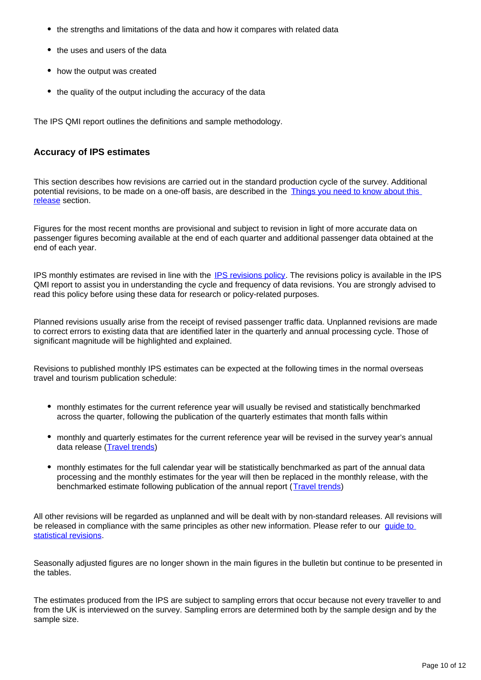- the strengths and limitations of the data and how it compares with related data
- the uses and users of the data
- how the output was created
- the quality of the output including the accuracy of the data

The IPS QMI report outlines the definitions and sample methodology.

### **Accuracy of IPS estimates**

This section describes how revisions are carried out in the standard production cycle of the survey. Additional potential revisions, to be made on a one-off basis, are described in the [Things you need to know about this](https://publishing.ons.gov.uk/peoplepopulationandcommunity/leisureandtourism/bulletins/overseastravelandtourism/june2019provisionalresults#things-you-need-to-know-about-this-release)  [release](https://publishing.ons.gov.uk/peoplepopulationandcommunity/leisureandtourism/bulletins/overseastravelandtourism/june2019provisionalresults#things-you-need-to-know-about-this-release) section.

Figures for the most recent months are provisional and subject to revision in light of more accurate data on passenger figures becoming available at the end of each quarter and additional passenger data obtained at the end of each year.

IPS monthly estimates are revised in line with the [IPS revisions policy.](https://www.ons.gov.uk/peoplepopulationandcommunity/leisureandtourism/methodologies/internationalpassengersurveyqmi#other-information) The revisions policy is available in the IPS QMI report to assist you in understanding the cycle and frequency of data revisions. You are strongly advised to read this policy before using these data for research or policy-related purposes.

Planned revisions usually arise from the receipt of revised passenger traffic data. Unplanned revisions are made to correct errors to existing data that are identified later in the quarterly and annual processing cycle. Those of significant magnitude will be highlighted and explained.

Revisions to published monthly IPS estimates can be expected at the following times in the normal overseas travel and tourism publication schedule:

- monthly estimates for the current reference year will usually be revised and statistically benchmarked across the quarter, following the publication of the quarterly estimates that month falls within
- monthly and quarterly estimates for the current reference year will be revised in the survey year's annual data release [\(Travel trends\)](https://www.ons.gov.uk/peoplepopulationandcommunity/leisureandtourism/articles/traveltrends/previousReleases)
- monthly estimates for the full calendar year will be statistically benchmarked as part of the annual data processing and the monthly estimates for the year will then be replaced in the monthly release, with the benchmarked estimate following publication of the annual report ([Travel trends](https://www.ons.gov.uk/peoplepopulationandcommunity/leisureandtourism/articles/traveltrends/previousReleases))

All other revisions will be regarded as unplanned and will be dealt with by non-standard releases. All revisions will be released in compliance with the same principles as other new information. Please refer to our quide to [statistical revisions](https://webarchive.nationalarchives.gov.uk/20160105234503/http://www.ons.gov.uk/ons/guide-method/revisions/guide-to-statistical-revisions/index.html).

Seasonally adjusted figures are no longer shown in the main figures in the bulletin but continue to be presented in the tables.

The estimates produced from the IPS are subject to sampling errors that occur because not every traveller to and from the UK is interviewed on the survey. Sampling errors are determined both by the sample design and by the sample size.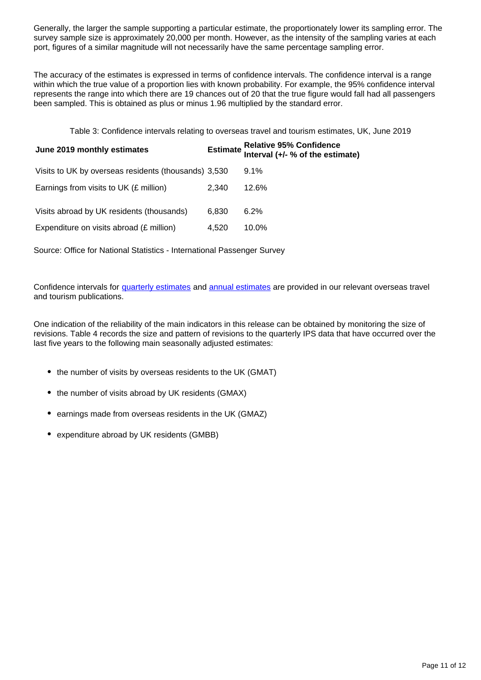Generally, the larger the sample supporting a particular estimate, the proportionately lower its sampling error. The survey sample size is approximately 20,000 per month. However, as the intensity of the sampling varies at each port, figures of a similar magnitude will not necessarily have the same percentage sampling error.

The accuracy of the estimates is expressed in terms of confidence intervals. The confidence interval is a range within which the true value of a proportion lies with known probability. For example, the 95% confidence interval represents the range into which there are 19 chances out of 20 that the true figure would fall had all passengers been sampled. This is obtained as plus or minus 1.96 multiplied by the standard error.

Table 3: Confidence intervals relating to overseas travel and tourism estimates, UK, June 2019

| June 2019 monthly estimates                          |       | Estimate Relative 95% Confidence<br>Interval (+/- % of the estimate) |
|------------------------------------------------------|-------|----------------------------------------------------------------------|
| Visits to UK by overseas residents (thousands) 3,530 |       | $9.1\%$                                                              |
| Earnings from visits to UK (£ million)               | 2.340 | 12.6%                                                                |
| Visits abroad by UK residents (thousands)            | 6.830 | $6.2\%$                                                              |
| Expenditure on visits abroad (£ million)             | 4.520 | 10.0%                                                                |

Source: Office for National Statistics - International Passenger Survey

Confidence intervals for [quarterly estimates](https://www.ons.gov.uk/peoplepopulationandcommunity/leisureandtourism/articles/overseastravelandtourismprovisionalresults/previousReleases) and [annual estimates](https://www.ons.gov.uk/peoplepopulationandcommunity/leisureandtourism/articles/traveltrends/previousReleases) are provided in our relevant overseas travel and tourism publications.

One indication of the reliability of the main indicators in this release can be obtained by monitoring the size of revisions. Table 4 records the size and pattern of revisions to the quarterly IPS data that have occurred over the last five years to the following main seasonally adjusted estimates:

- the number of visits by overseas residents to the UK (GMAT)
- the number of visits abroad by UK residents (GMAX)
- earnings made from overseas residents in the UK (GMAZ)
- expenditure abroad by UK residents (GMBB)